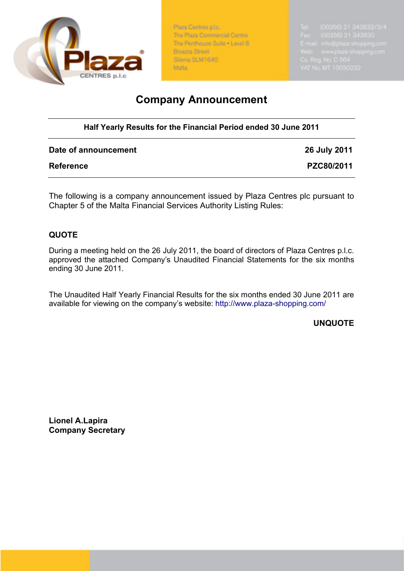

Plaza Centres p.l.c. The Plaza Commercial Centre The Penthouse Suite . Level 8 Bisazza Street Slema SLM1640 Malta

## **Company Announcement**

## **Half Yearly Results for the Financial Period ended 30 June 2011**

| Date of announcement | 26 July 2011 |
|----------------------|--------------|
| <b>Reference</b>     | PZC80/2011   |

The following is a company announcement issued by Plaza Centres plc pursuant to Chapter 5 of the Malta Financial Services Authority Listing Rules:

## **QUOTE**

During a meeting held on the 26 July 2011, the board of directors of Plaza Centres p.l.c. approved the attached Company's Unaudited Financial Statements for the six months ending 30 June 2011.

The Unaudited Half Yearly Financial Results for the six months ended 30 June 2011 are available for viewing on the company's website: http://www.plaza-shopping.com/

**UNQUOTE**

**Lionel A.Lapira Company Secretary**